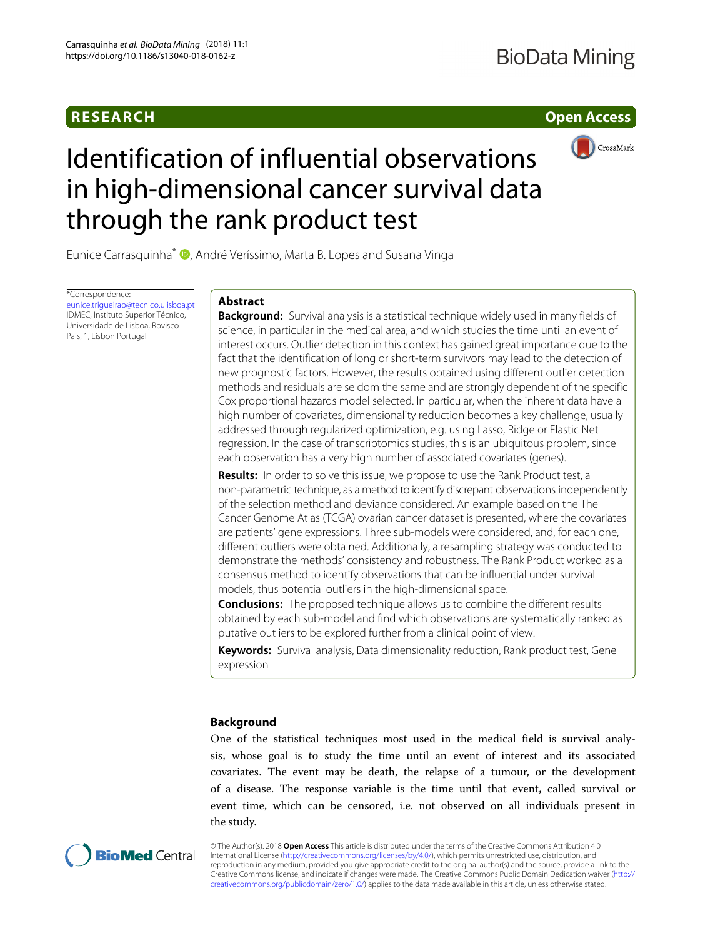## **RESEARCH Open Access**



# Identification of influential observations in high-dimensional cancer survival data through the rank product test

Eunice Carrasquinha<sup>\*</sup>  $\mathbf{D}$ [,](http://orcid.org/0000-0003-3465-4347) André Veríssimo, Marta B. Lopes and Susana Vinga

\*Correspondence:

[eunice.trigueirao@tecnico.ulisboa.pt](mailto: eunice.trigueirao@tecnico.ulisboa.pt) IDMEC, Instituto Superior Técnico, Universidade de Lisboa, Rovisco Pais, 1, Lisbon Portugal

## **Abstract**

**Background:** Survival analysis is a statistical technique widely used in many fields of science, in particular in the medical area, and which studies the time until an event of interest occurs. Outlier detection in this context has gained great importance due to the fact that the identification of long or short-term survivors may lead to the detection of new prognostic factors. However, the results obtained using different outlier detection methods and residuals are seldom the same and are strongly dependent of the specific Cox proportional hazards model selected. In particular, when the inherent data have a high number of covariates, dimensionality reduction becomes a key challenge, usually addressed through regularized optimization, e.g. using Lasso, Ridge or Elastic Net regression. In the case of transcriptomics studies, this is an ubiquitous problem, since each observation has a very high number of associated covariates (genes).

**Results:** In order to solve this issue, we propose to use the Rank Product test, a non-parametric technique, as a method to identify discrepant observations independently of the selection method and deviance considered. An example based on the The Cancer Genome Atlas (TCGA) ovarian cancer dataset is presented, where the covariates are patients' gene expressions. Three sub-models were considered, and, for each one, different outliers were obtained. Additionally, a resampling strategy was conducted to demonstrate the methods' consistency and robustness. The Rank Product worked as a consensus method to identify observations that can be influential under survival models, thus potential outliers in the high-dimensional space.

**Conclusions:** The proposed technique allows us to combine the different results obtained by each sub-model and find which observations are systematically ranked as putative outliers to be explored further from a clinical point of view.

**Keywords:** Survival analysis, Data dimensionality reduction, Rank product test, Gene expression

## **Background**

One of the statistical techniques most used in the medical field is survival analysis, whose goal is to study the time until an event of interest and its associated covariates. The event may be death, the relapse of a tumour, or the development of a disease. The response variable is the time until that event, called survival or event time, which can be censored, i.e. not observed on all individuals present in the study.



© The Author(s). 2018 **Open Access** This article is distributed under the terms of the Creative Commons Attribution 4.0 International License [\(http://creativecommons.org/licenses/by/4.0/\)](http://creativecommons.org/licenses/by/4.0/), which permits unrestricted use, distribution, and reproduction in any medium, provided you give appropriate credit to the original author(s) and the source, provide a link to the Creative Commons license, and indicate if changes were made. The Creative Commons Public Domain Dedication waiver [\(http://](http://creativecommons.org/publicdomain/zero/1.0/) [creativecommons.org/publicdomain/zero/1.0/\)](http://creativecommons.org/publicdomain/zero/1.0/) applies to the data made available in this article, unless otherwise stated.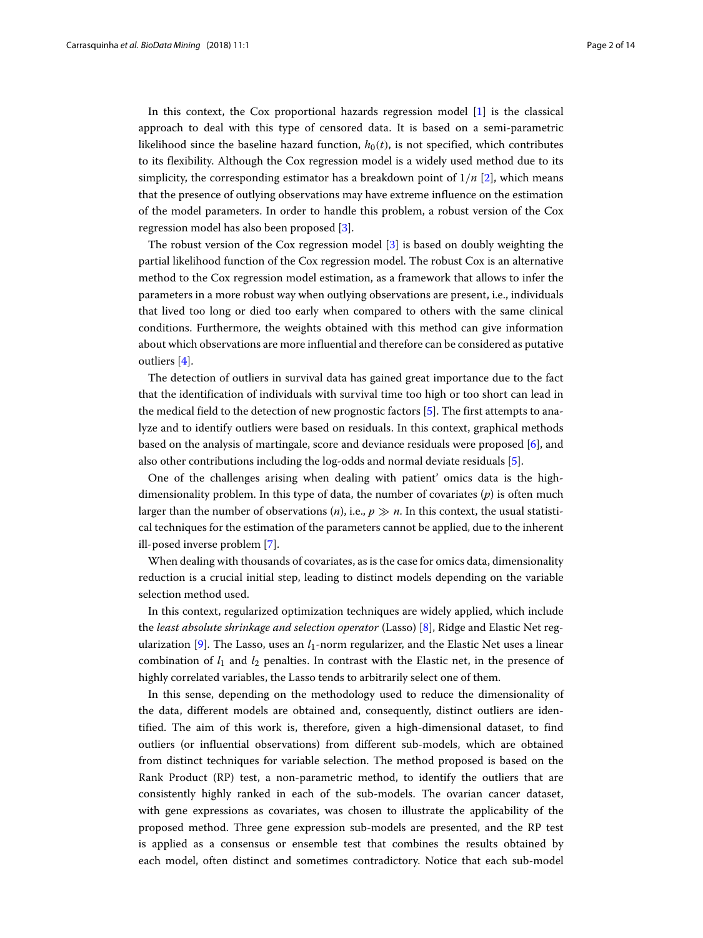In this context, the Cox proportional hazards regression model [\[1\]](#page-12-0) is the classical approach to deal with this type of censored data. It is based on a semi-parametric likelihood since the baseline hazard function,  $h_0(t)$ , is not specified, which contributes to its flexibility. Although the Cox regression model is a widely used method due to its simplicity, the corresponding estimator has a breakdown point of  $1/n$  [\[2\]](#page-12-1), which means that the presence of outlying observations may have extreme influence on the estimation of the model parameters. In order to handle this problem, a robust version of the Cox regression model has also been proposed [\[3\]](#page-12-2).

The robust version of the Cox regression model [\[3\]](#page-12-2) is based on doubly weighting the partial likelihood function of the Cox regression model. The robust Cox is an alternative method to the Cox regression model estimation, as a framework that allows to infer the parameters in a more robust way when outlying observations are present, i.e., individuals that lived too long or died too early when compared to others with the same clinical conditions. Furthermore, the weights obtained with this method can give information about which observations are more influential and therefore can be considered as putative outliers [\[4\]](#page-12-3).

The detection of outliers in survival data has gained great importance due to the fact that the identification of individuals with survival time too high or too short can lead in the medical field to the detection of new prognostic factors [\[5\]](#page-12-4). The first attempts to analyze and to identify outliers were based on residuals. In this context, graphical methods based on the analysis of martingale, score and deviance residuals were proposed [\[6\]](#page-12-5), and also other contributions including the log-odds and normal deviate residuals [\[5\]](#page-12-4).

One of the challenges arising when dealing with patient' omics data is the highdimensionality problem. In this type of data, the number of covariates (*p*) is often much larger than the number of observations  $(n)$ , i.e.,  $p \gg n$ . In this context, the usual statistical techniques for the estimation of the parameters cannot be applied, due to the inherent ill-posed inverse problem [\[7\]](#page-12-6).

When dealing with thousands of covariates, as is the case for omics data, dimensionality reduction is a crucial initial step, leading to distinct models depending on the variable selection method used.

In this context, regularized optimization techniques are widely applied, which include the *least absolute shrinkage and selection operator* (Lasso) [\[8\]](#page-12-7), Ridge and Elastic Net reg-ularization [\[9\]](#page-12-8). The Lasso, uses an *l*<sub>1</sub>-norm regularizer, and the Elastic Net uses a linear combination of  $l_1$  and  $l_2$  penalties. In contrast with the Elastic net, in the presence of highly correlated variables, the Lasso tends to arbitrarily select one of them.

In this sense, depending on the methodology used to reduce the dimensionality of the data, different models are obtained and, consequently, distinct outliers are identified. The aim of this work is, therefore, given a high-dimensional dataset, to find outliers (or influential observations) from different sub-models, which are obtained from distinct techniques for variable selection. The method proposed is based on the Rank Product (RP) test, a non-parametric method, to identify the outliers that are consistently highly ranked in each of the sub-models. The ovarian cancer dataset, with gene expressions as covariates, was chosen to illustrate the applicability of the proposed method. Three gene expression sub-models are presented, and the RP test is applied as a consensus or ensemble test that combines the results obtained by each model, often distinct and sometimes contradictory. Notice that each sub-model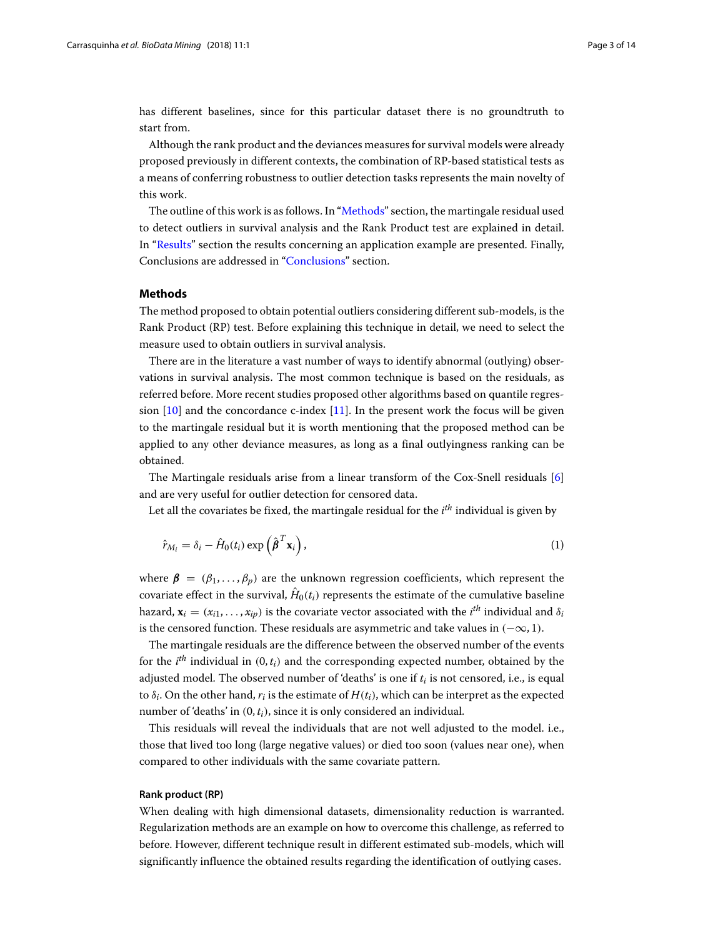has different baselines, since for this particular dataset there is no groundtruth to start from.

Although the rank product and the deviances measures for survival models were already proposed previously in different contexts, the combination of RP-based statistical tests as a means of conferring robustness to outlier detection tasks represents the main novelty of this work.

The outline of this work is as follows. In ["Methods"](#page-2-0) section, the martingale residual used to detect outliers in survival analysis and the Rank Product test are explained in detail. In ["Results"](#page-4-0) section the results concerning an application example are presented. Finally, Conclusions are addressed in ["Conclusions"](#page-12-9) section.

#### <span id="page-2-0"></span>**Methods**

The method proposed to obtain potential outliers considering different sub-models, is the Rank Product (RP) test. Before explaining this technique in detail, we need to select the measure used to obtain outliers in survival analysis.

There are in the literature a vast number of ways to identify abnormal (outlying) observations in survival analysis. The most common technique is based on the residuals, as referred before. More recent studies proposed other algorithms based on quantile regression  $[10]$  and the concordance c-index  $[11]$ . In the present work the focus will be given to the martingale residual but it is worth mentioning that the proposed method can be applied to any other deviance measures, as long as a final outlyingness ranking can be obtained.

The Martingale residuals arise from a linear transform of the Cox-Snell residuals [\[6\]](#page-12-5) and are very useful for outlier detection for censored data.

Let all the covariates be fixed, the martingale residual for the *i th* individual is given by

$$
\hat{r}_{M_i} = \delta_i - \hat{H}_0(t_i) \exp\left(\hat{\boldsymbol{\beta}}^T \mathbf{x}_i\right),\tag{1}
$$

where  $\beta = (\beta_1, \ldots, \beta_p)$  are the unknown regression coefficients, which represent the covariate effect in the survival,  $\hat{H}_0(t_i)$  represents the estimate of the cumulative baseline hazard,  $\mathbf{x}_i = (x_{i1}, \dots, x_{ip})$  is the covariate vector associated with the  $i^{th}$  individual and  $\delta_i$ is the censored function. These residuals are asymmetric and take values in  $(-\infty, 1)$ .

The martingale residuals are the difference between the observed number of the events for the *i th* individual in (0, *ti*) and the corresponding expected number, obtained by the adjusted model. The observed number of 'deaths' is one if *ti* is not censored, i.e., is equal to  $\delta_i$ . On the other hand,  $r_i$  is the estimate of  $H(t_i)$ , which can be interpret as the expected number of 'deaths' in (0, *ti*), since it is only considered an individual.

This residuals will reveal the individuals that are not well adjusted to the model. i.e., those that lived too long (large negative values) or died too soon (values near one), when compared to other individuals with the same covariate pattern.

#### **Rank product (RP)**

When dealing with high dimensional datasets, dimensionality reduction is warranted. Regularization methods are an example on how to overcome this challenge, as referred to before. However, different technique result in different estimated sub-models, which will significantly influence the obtained results regarding the identification of outlying cases.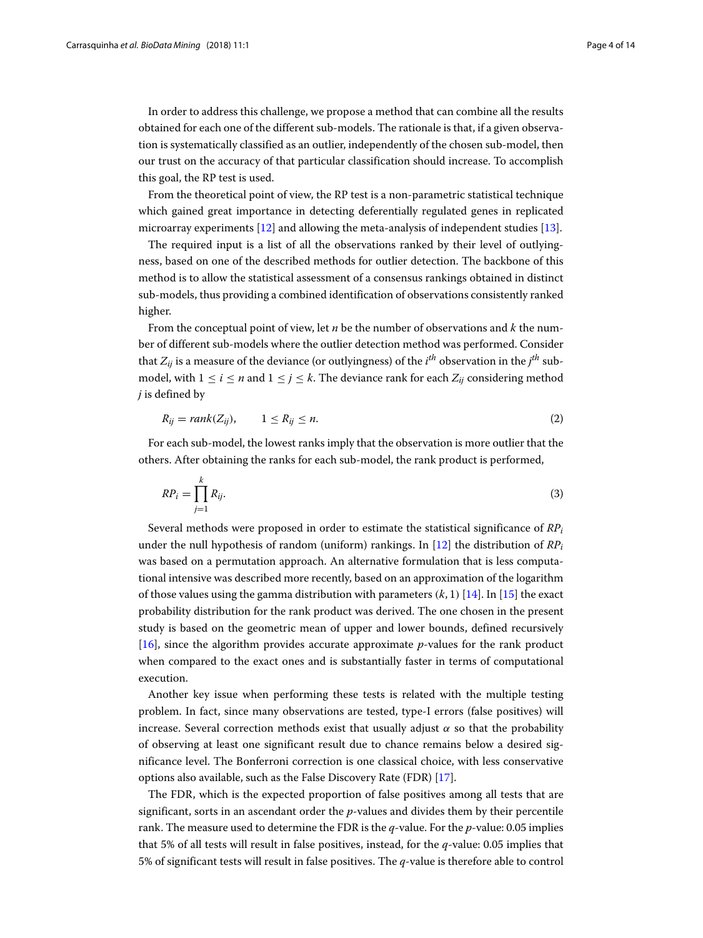In order to address this challenge, we propose a method that can combine all the results obtained for each one of the different sub-models. The rationale is that, if a given observation is systematically classified as an outlier, independently of the chosen sub-model, then our trust on the accuracy of that particular classification should increase. To accomplish this goal, the RP test is used.

From the theoretical point of view, the RP test is a non-parametric statistical technique which gained great importance in detecting deferentially regulated genes in replicated microarray experiments [\[12\]](#page-13-2) and allowing the meta-analysis of independent studies [\[13\]](#page-13-3).

The required input is a list of all the observations ranked by their level of outlyingness, based on one of the described methods for outlier detection. The backbone of this method is to allow the statistical assessment of a consensus rankings obtained in distinct sub-models, thus providing a combined identification of observations consistently ranked higher.

From the conceptual point of view, let *n* be the number of observations and *k* the number of different sub-models where the outlier detection method was performed. Consider that *Zij* is a measure of the deviance (or outlyingness) of the *i th* observation in the *j th* submodel, with  $1 \le i \le n$  and  $1 \le j \le k$ . The deviance rank for each  $Z_{ij}$  considering method *j* is defined by

$$
R_{ij} = rank(Z_{ij}), \qquad 1 \le R_{ij} \le n. \tag{2}
$$

For each sub-model, the lowest ranks imply that the observation is more outlier that the others. After obtaining the ranks for each sub-model, the rank product is performed,

$$
RP_i = \prod_{j=1}^k R_{ij}.\tag{3}
$$

Several methods were proposed in order to estimate the statistical significance of *RPi* under the null hypothesis of random (uniform) rankings. In [\[12\]](#page-13-2) the distribution of *RPi* was based on a permutation approach. An alternative formulation that is less computational intensive was described more recently, based on an approximation of the logarithm of those values using the gamma distribution with parameters (*k*, 1) [\[14\]](#page-13-4). In [\[15\]](#page-13-5) the exact probability distribution for the rank product was derived. The one chosen in the present study is based on the geometric mean of upper and lower bounds, defined recursively [\[16\]](#page-13-6), since the algorithm provides accurate approximate *p*-values for the rank product when compared to the exact ones and is substantially faster in terms of computational execution.

Another key issue when performing these tests is related with the multiple testing problem. In fact, since many observations are tested, type-I errors (false positives) will increase. Several correction methods exist that usually adjust  $\alpha$  so that the probability of observing at least one significant result due to chance remains below a desired significance level. The Bonferroni correction is one classical choice, with less conservative options also available, such as the False Discovery Rate (FDR) [\[17\]](#page-13-7).

The FDR, which is the expected proportion of false positives among all tests that are significant, sorts in an ascendant order the *p*-values and divides them by their percentile rank. The measure used to determine the FDR is the *q*-value. For the *p*-value: 0.05 implies that 5% of all tests will result in false positives, instead, for the *q*-value: 0.05 implies that 5% of significant tests will result in false positives. The *q*-value is therefore able to control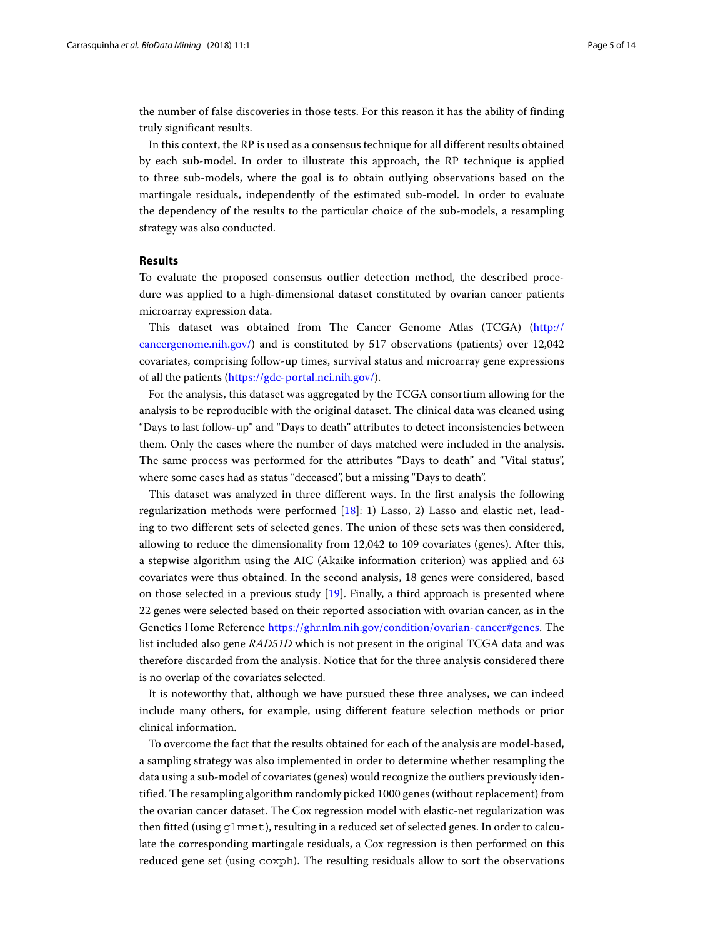the number of false discoveries in those tests. For this reason it has the ability of finding truly significant results.

In this context, the RP is used as a consensus technique for all different results obtained by each sub-model. In order to illustrate this approach, the RP technique is applied to three sub-models, where the goal is to obtain outlying observations based on the martingale residuals, independently of the estimated sub-model. In order to evaluate the dependency of the results to the particular choice of the sub-models, a resampling strategy was also conducted.

## <span id="page-4-0"></span>**Results**

To evaluate the proposed consensus outlier detection method, the described procedure was applied to a high-dimensional dataset constituted by ovarian cancer patients microarray expression data.

This dataset was obtained from The Cancer Genome Atlas (TCGA) [\(http://](http://cancergenome.nih.gov/) [cancergenome.nih.gov/\)](http://cancergenome.nih.gov/) and is constituted by 517 observations (patients) over 12,042 covariates, comprising follow-up times, survival status and microarray gene expressions of all the patients [\(https://gdc-portal.nci.nih.gov/\)](https://gdc-portal.nci.nih.gov/).

For the analysis, this dataset was aggregated by the TCGA consortium allowing for the analysis to be reproducible with the original dataset. The clinical data was cleaned using "Days to last follow-up" and "Days to death" attributes to detect inconsistencies between them. Only the cases where the number of days matched were included in the analysis. The same process was performed for the attributes "Days to death" and "Vital status", where some cases had as status "deceased", but a missing "Days to death".

This dataset was analyzed in three different ways. In the first analysis the following regularization methods were performed [\[18\]](#page-13-8): 1) Lasso, 2) Lasso and elastic net, leading to two different sets of selected genes. The union of these sets was then considered, allowing to reduce the dimensionality from 12,042 to 109 covariates (genes). After this, a stepwise algorithm using the AIC (Akaike information criterion) was applied and 63 covariates were thus obtained. In the second analysis, 18 genes were considered, based on those selected in a previous study  $[19]$ . Finally, a third approach is presented where 22 genes were selected based on their reported association with ovarian cancer, as in the Genetics Home Reference [https://ghr.nlm.nih.gov/condition/ovarian-cancer#genes.](https://ghr.nlm.nih.gov/condition/ovarian-cancer#genes) The list included also gene *RAD51D* which is not present in the original TCGA data and was therefore discarded from the analysis. Notice that for the three analysis considered there is no overlap of the covariates selected.

It is noteworthy that, although we have pursued these three analyses, we can indeed include many others, for example, using different feature selection methods or prior clinical information.

To overcome the fact that the results obtained for each of the analysis are model-based, a sampling strategy was also implemented in order to determine whether resampling the data using a sub-model of covariates (genes) would recognize the outliers previously identified. The resampling algorithm randomly picked 1000 genes (without replacement) from the ovarian cancer dataset. The Cox regression model with elastic-net regularization was then fitted (using glmnet), resulting in a reduced set of selected genes. In order to calculate the corresponding martingale residuals, a Cox regression is then performed on this reduced gene set (using coxph). The resulting residuals allow to sort the observations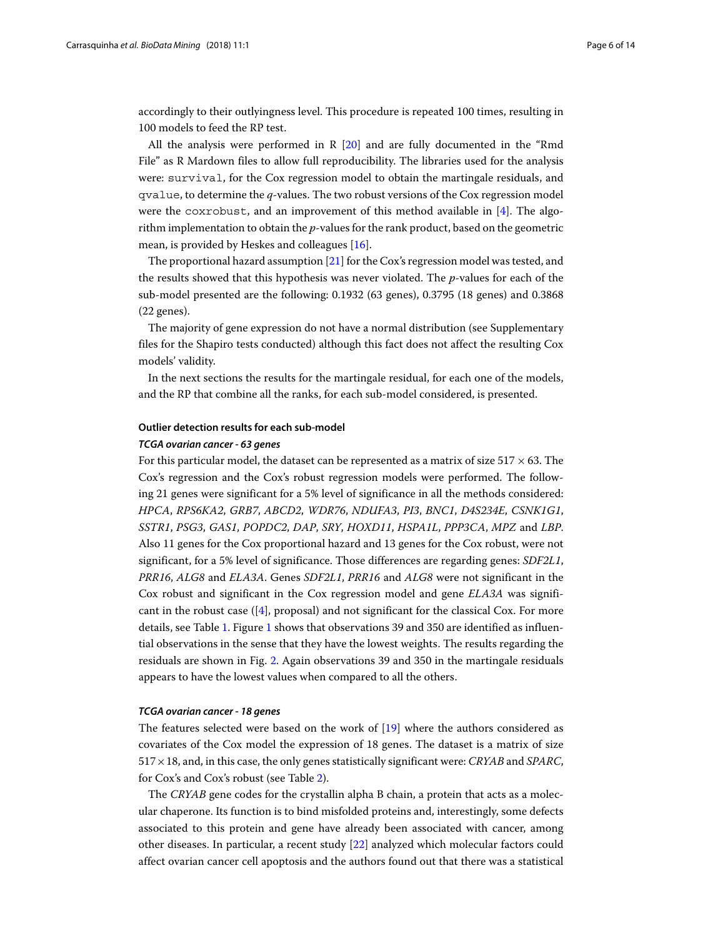accordingly to their outlyingness level. This procedure is repeated 100 times, resulting in 100 models to feed the RP test.

All the analysis were performed in R [\[20\]](#page-13-10) and are fully documented in the "Rmd File" as R Mardown files to allow full reproducibility. The libraries used for the analysis were: survival, for the Cox regression model to obtain the martingale residuals, and qvalue, to determine the *q*-values. The two robust versions of the Cox regression model were the coxrobust, and an improvement of this method available in  $[4]$ . The algorithm implementation to obtain the *p*-values for the rank product, based on the geometric mean, is provided by Heskes and colleagues [\[16\]](#page-13-6).

The proportional hazard assumption [\[21\]](#page-13-11) for the Cox's regression model was tested, and the results showed that this hypothesis was never violated. The *p*-values for each of the sub-model presented are the following: 0.1932 (63 genes), 0.3795 (18 genes) and 0.3868 (22 genes).

The majority of gene expression do not have a normal distribution (see Supplementary files for the Shapiro tests conducted) although this fact does not affect the resulting Cox models' validity.

In the next sections the results for the martingale residual, for each one of the models, and the RP that combine all the ranks, for each sub-model considered, is presented.

## **Outlier detection results for each sub-model**

## *TCGA ovarian cancer - 63 genes*

For this particular model, the dataset can be represented as a matrix of size  $517 \times 63$ . The Cox's regression and the Cox's robust regression models were performed. The following 21 genes were significant for a 5% level of significance in all the methods considered: *HPCA*, *RPS6KA2*, *GRB7*, *ABCD2*, *WDR76*, *NDUFA3*, *PI3*, *BNC1*, *D4S234E*, *CSNK1G1*, *SSTR1*, *PSG3*, *GAS1*, *POPDC2*, *DAP*, *SRY*, *HOXD11*, *HSPA1L*, *PPP3CA*, *MPZ* and *LBP*. Also 11 genes for the Cox proportional hazard and 13 genes for the Cox robust, were not significant, for a 5% level of significance. Those differences are regarding genes: *SDF2L1*, *PRR16*, *ALG8* and *ELA3A*. Genes *SDF2L1*, *PRR16* and *ALG8* were not significant in the Cox robust and significant in the Cox regression model and gene *ELA3A* was significant in the robust case  $([4]$  $([4]$ , proposal) and not significant for the classical Cox. For more details, see Table [1.](#page-6-0) Figure [1](#page-7-0) shows that observations 39 and 350 are identified as influential observations in the sense that they have the lowest weights. The results regarding the residuals are shown in Fig. [2.](#page-8-0) Again observations 39 and 350 in the martingale residuals appears to have the lowest values when compared to all the others.

## *TCGA ovarian cancer - 18 genes*

The features selected were based on the work of [\[19\]](#page-13-9) where the authors considered as covariates of the Cox model the expression of 18 genes. The dataset is a matrix of size 517×18, and, in this case, the only genes statistically significant were: *CRYAB* and *SPARC*, for Cox's and Cox's robust (see Table [2\)](#page-9-0).

The *CRYAB* gene codes for the crystallin alpha B chain, a protein that acts as a molecular chaperone. Its function is to bind misfolded proteins and, interestingly, some defects associated to this protein and gene have already been associated with cancer, among other diseases. In particular, a recent study [\[22\]](#page-13-12) analyzed which molecular factors could affect ovarian cancer cell apoptosis and the authors found out that there was a statistical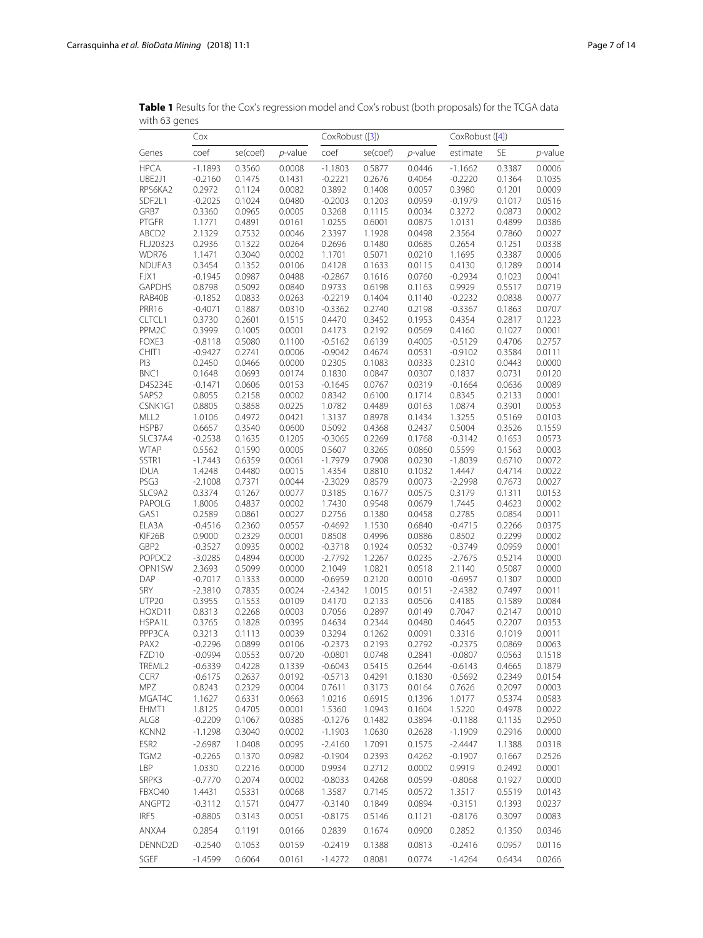<span id="page-6-0"></span>

|                       | Cox                 |                  |                  | CoxRobust ([3])     |                  |                  | CoxRobust ([4])     |                  |                  |
|-----------------------|---------------------|------------------|------------------|---------------------|------------------|------------------|---------------------|------------------|------------------|
| Genes                 | coef                | se(coef)         | <i>p</i> -value  | coef                | se(coef)         | <i>p</i> -value  | estimate            | SE               | p-value          |
| <b>HPCA</b>           | $-1.1893$           | 0.3560           | 0.0008           | $-1.1803$           | 0.5877           | 0.0446           | $-1.1662$           | 0.3387           | 0.0006           |
| UBE2J1                | $-0.2160$           | 0.1475           | 0.1431           | $-0.2221$           | 0.2676           | 0.4064           | $-0.2220$           | 0.1364           | 0.1035           |
| RPS6KA2               | 0.2972              | 0.1124           | 0.0082           | 0.3892              | 0.1408           | 0.0057           | 0.3980              | 0.1201           | 0.0009           |
| SDF2L1                | $-0.2025$           | 0.1024           | 0.0480           | $-0.2003$           | 0.1203           | 0.0959           | $-0.1979$           | 0.1017           | 0.0516           |
| GRB7                  | 0.3360              | 0.0965           | 0.0005           | 0.3268              | 0.1115           | 0.0034           | 0.3272              | 0.0873           | 0.0002           |
| PTGFR                 | 1.1771              | 0.4891           | 0.0161           | 1.0255              | 0.6001           | 0.0875           | 1.0131              | 0.4899           | 0.0386           |
| ABCD2                 | 2.1329              | 0.7532           | 0.0046           | 2.3397              | 1.1928           | 0.0498           | 2.3564              | 0.7860           | 0.0027           |
| FLJ20323              | 0.2936              | 0.1322           | 0.0264           | 0.2696              | 0.1480           | 0.0685           | 0.2654              | 0.1251           | 0.0338           |
| WDR76                 | 1.1471              | 0.3040           | 0.0002           | 1.1701              | 0.5071           | 0.0210           | 1.1695              | 0.3387           | 0.0006           |
| NDUFA3                | 0.3454              | 0.1352           | 0.0106           | 0.4128              | 0.1633           | 0.0115           | 0.4130              | 0.1289           | 0.0014           |
| FJX1<br><b>GAPDHS</b> | $-0.1945$           | 0.0987           | 0.0488           | $-0.2867$           | 0.1616           | 0.0760           | $-0.2934$<br>0.9929 | 0.1023           | 0.0041           |
| RAB40B                | 0.8798<br>$-0.1852$ | 0.5092<br>0.0833 | 0.0840<br>0.0263 | 0.9733<br>$-0.2219$ | 0.6198<br>0.1404 | 0.1163<br>0.1140 | $-0.2232$           | 0.5517<br>0.0838 | 0.0719<br>0.0077 |
| PRR16                 | $-0.4071$           | 0.1887           | 0.0310           | $-0.3362$           | 0.2740           | 0.2198           | $-0.3367$           | 0.1863           | 0.0707           |
| CLTCL1                | 0.3730              | 0.2601           | 0.1515           | 0.4470              | 0.3452           | 0.1953           | 0.4354              | 0.2817           | 0.1223           |
| PPM <sub>2</sub> C    | 0.3999              | 0.1005           | 0.0001           | 0.4173              | 0.2192           | 0.0569           | 0.4160              | 0.1027           | 0.0001           |
| FOXE3                 | $-0.8118$           | 0.5080           | 0.1100           | $-0.5162$           | 0.6139           | 0.4005           | $-0.5129$           | 0.4706           | 0.2757           |
| CHIT1                 | $-0.9427$           | 0.2741           | 0.0006           | $-0.9042$           | 0.4674           | 0.0531           | $-0.9102$           | 0.3584           | 0.0111           |
| PI3                   | 0.2450              | 0.0466           | 0.0000           | 0.2305              | 0.1083           | 0.0333           | 0.2310              | 0.0443           | 0.0000           |
| BNC <sub>1</sub>      | 0.1648              | 0.0693           | 0.0174           | 0.1830              | 0.0847           | 0.0307           | 0.1837              | 0.0731           | 0.0120           |
| D4S234E               | $-0.1471$           | 0.0606           | 0.0153           | $-0.1645$           | 0.0767           | 0.0319           | $-0.1664$           | 0.0636           | 0.0089           |
| SAPS2                 | 0.8055              | 0.2158           | 0.0002           | 0.8342              | 0.6100           | 0.1714           | 0.8345              | 0.2133           | 0.0001           |
| CSNK1G1               | 0.8805              | 0.3858           | 0.0225           | 1.0782              | 0.4489           | 0.0163           | 1.0874              | 0.3901           | 0.0053           |
| MLL <sub>2</sub>      | 1.0106              | 0.4972           | 0.0421           | 1.3137              | 0.8978           | 0.1434           | 1.3255              | 0.5169           | 0.0103           |
| HSPB7                 | 0.6657              | 0.3540           | 0.0600           | 0.5092              | 0.4368           | 0.2437           | 0.5004              | 0.3526           | 0.1559           |
| SLC37A4               | $-0.2538$           | 0.1635           | 0.1205           | $-0.3065$           | 0.2269           | 0.1768           | $-0.3142$           | 0.1653           | 0.0573           |
| <b>WTAP</b><br>SSTR1  | 0.5562<br>$-1.7443$ | 0.1590<br>0.6359 | 0.0005<br>0.0061 | 0.5607<br>$-1.7979$ | 0.3265           | 0.0860           | 0.5599<br>$-1.8039$ | 0.1563<br>0.6710 | 0.0003           |
| <b>IDUA</b>           | 1.4248              | 0.4480           | 0.0015           | 1.4354              | 0.7908<br>0.8810 | 0.0230<br>0.1032 | 1.4447              | 0.4714           | 0.0072<br>0.0022 |
| PSG3                  | $-2.1008$           | 0.7371           | 0.0044           | $-2.3029$           | 0.8579           | 0.0073           | $-2.2998$           | 0.7673           | 0.0027           |
| SLC9A2                | 0.3374              | 0.1267           | 0.0077           | 0.3185              | 0.1677           | 0.0575           | 0.3179              | 0.1311           | 0.0153           |
| PAPOLG                | 1.8006              | 0.4837           | 0.0002           | 1.7430              | 0.9548           | 0.0679           | 1.7445              | 0.4623           | 0.0002           |
| GAS1                  | 0.2589              | 0.0861           | 0.0027           | 0.2756              | 0.1380           | 0.0458           | 0.2785              | 0.0854           | 0.0011           |
| ELA3A                 | $-0.4516$           | 0.2360           | 0.0557           | $-0.4692$           | 1.1530           | 0.6840           | $-0.4715$           | 0.2266           | 0.0375           |
| KIF26B                | 0.9000              | 0.2329           | 0.0001           | 0.8508              | 0.4996           | 0.0886           | 0.8502              | 0.2299           | 0.0002           |
| GBP <sub>2</sub>      | $-0.3527$           | 0.0935           | 0.0002           | $-0.3718$           | 0.1924           | 0.0532           | $-0.3749$           | 0.0959           | 0.0001           |
| POPDC2                | $-3.0285$           | 0.4894           | 0.0000           | $-2.7792$           | 1.2267           | 0.0235           | $-2.7675$           | 0.5214           | 0.0000           |
| OPN1SW                | 2.3693              | 0.5099           | 0.0000           | 2.1049              | 1.0821           | 0.0518           | 2.1140              | 0.5087           | 0.0000           |
| DAP                   | $-0.7017$           | 0.1333           | 0.0000           | $-0.6959$           | 0.2120           | 0.0010           | $-0.6957$           | 0.1307           | 0.0000           |
| SRY                   | $-2.3810$           | 0.7835           | 0.0024           | $-2.4342$           | 1.0015           | 0.0151           | $-2.4382$           | 0.7497           | 0.0011           |
| UTP <sub>20</sub>     | 0.3955              | 0.1553           | 0.0109           | 0.4170              | 0.2133           | 0.0506           | 0.4185<br>0.7047    | 0.1589           | 0.0084           |
| HOXD11<br>HSPA1L      | 0.8313<br>0.3765    | 0.2268<br>0.1828 | 0.0003<br>0.0395 | 0.7056<br>0.4634    | 0.2897<br>0.2344 | 0.0149           | 0.4645              | 0.2147<br>0.2207 | 0.0010<br>0.0353 |
| PPP3CA                | 0.3213              | 0.1113           | 0.0039           | 0.3294              | 0.1262           | 0.0480<br>0.0091 | 0.3316              | 0.1019           | 0.0011           |
| PAX2                  | $-0.2296$           | 0.0899           | 0.0106           | $-0.2373$           | 0.2193           | 0.2792           | $-0.2375$           | 0.0869           | 0.0063           |
| FZD10                 | $-0.0994$           | 0.0553           | 0.0720           | $-0.0801$           | 0.0748           | 0.2841           | $-0.0807$           | 0.0563           | 0.1518           |
| TREML2                | $-0.6339$           | 0.4228           | 0.1339           | $-0.6043$           | 0.5415           | 0.2644           | $-0.6143$           | 0.4665           | 0.1879           |
| CCR7                  | $-0.6175$           | 0.2637           | 0.0192           | $-0.5713$           | 0.4291           | 0.1830           | $-0.5692$           | 0.2349           | 0.0154           |
| <b>MPZ</b>            | 0.8243              | 0.2329           | 0.0004           | 0.7611              | 0.3173           | 0.0164           | 0.7626              | 0.2097           | 0.0003           |
| MGAT4C                | 1.1627              | 0.6331           | 0.0663           | 1.0216              | 0.6915           | 0.1396           | 1.0177              | 0.5374           | 0.0583           |
| EHMT1                 | 1.8125              | 0.4705           | 0.0001           | 1.5360              | 1.0943           | 0.1604           | 1.5220              | 0.4978           | 0.0022           |
| ALG8                  | $-0.2209$           | 0.1067           | 0.0385           | $-0.1276$           | 0.1482           | 0.3894           | $-0.1188$           | 0.1135           | 0.2950           |
| KCNN <sub>2</sub>     | $-1.1298$           | 0.3040           | 0.0002           | $-1.1903$           | 1.0630           | 0.2628           | $-1.1909$           | 0.2916           | 0.0000           |
| ESR2                  | $-2.6987$           | 1.0408           | 0.0095           | $-2.4160$           | 1.7091           | 0.1575           | $-2.4447$           | 1.1388           | 0.0318           |
| TGM2                  | $-0.2265$           | 0.1370           | 0.0982           | $-0.1904$           | 0.2393           | 0.4262           | $-0.1907$           | 0.1667           | 0.2526           |
| LBP                   | 1.0330              | 0.2216           | 0.0000           | 0.9934              | 0.2712           | 0.0002           | 0.9919              | 0.2492           | 0.0001           |
| SRPK3                 | $-0.7770$           | 0.2074           | 0.0002           | $-0.8033$           | 0.4268           | 0.0599           | $-0.8068$           | 0.1927           | 0.0000           |
| FBXO40                | 1.4431              | 0.5331           | 0.0068           | 1.3587              | 0.7145           | 0.0572           | 1.3517              | 0.5519           | 0.0143           |
| ANGPT2                | $-0.3112$           | 0.1571           | 0.0477           | $-0.3140$           | 0.1849           | 0.0894           | $-0.3151$           | 0.1393           | 0.0237           |
| IRF5                  | $-0.8805$           | 0.3143           | 0.0051           | $-0.8175$           | 0.5146           | 0.1121           | $-0.8176$           | 0.3097           | 0.0083           |
| ANXA4                 | 0.2854              | 0.1191           | 0.0166           | 0.2839              | 0.1674           | 0.0900           | 0.2852              | 0.1350           | 0.0346           |
| DENND <sub>2D</sub>   | $-0.2540$           | 0.1053           | 0.0159           | $-0.2419$           | 0.1388           | 0.0813           | $-0.2416$           | 0.0957           | 0.0116           |
| SGEF                  | $-1.4599$           | 0.6064           | 0.0161           | $-1.4272$           | 0.8081           | 0.0774           | $-1.4264$           | 0.6434           | 0.0266           |
|                       |                     |                  |                  |                     |                  |                  |                     |                  |                  |

**Table 1** Results for the Cox's regression model and Cox's robust (both proposals) for the TCGA data with 63 genes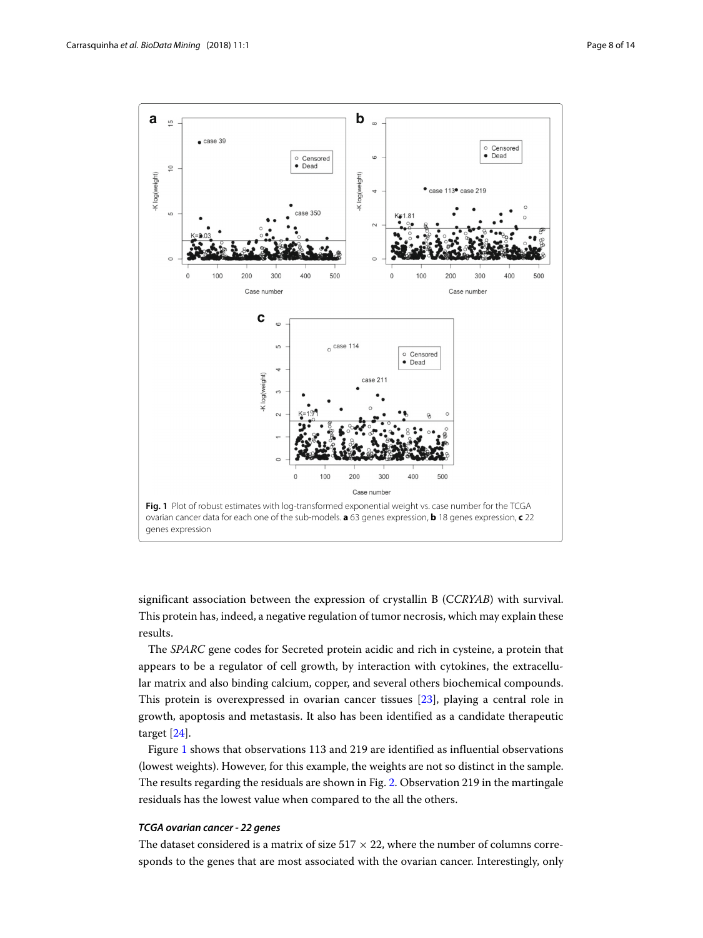

<span id="page-7-0"></span>significant association between the expression of crystallin B (C*CRYAB*) with survival. This protein has, indeed, a negative regulation of tumor necrosis, which may explain these results.

The *SPARC* gene codes for Secreted protein acidic and rich in cysteine, a protein that appears to be a regulator of cell growth, by interaction with cytokines, the extracellular matrix and also binding calcium, copper, and several others biochemical compounds. This protein is overexpressed in ovarian cancer tissues [\[23\]](#page-13-13), playing a central role in growth, apoptosis and metastasis. It also has been identified as a candidate therapeutic target [\[24\]](#page-13-14).

Figure [1](#page-7-0) shows that observations 113 and 219 are identified as influential observations (lowest weights). However, for this example, the weights are not so distinct in the sample. The results regarding the residuals are shown in Fig. [2.](#page-8-0) Observation 219 in the martingale residuals has the lowest value when compared to the all the others.

#### *TCGA ovarian cancer - 22 genes*

The dataset considered is a matrix of size  $517 \times 22$ , where the number of columns corresponds to the genes that are most associated with the ovarian cancer. Interestingly, only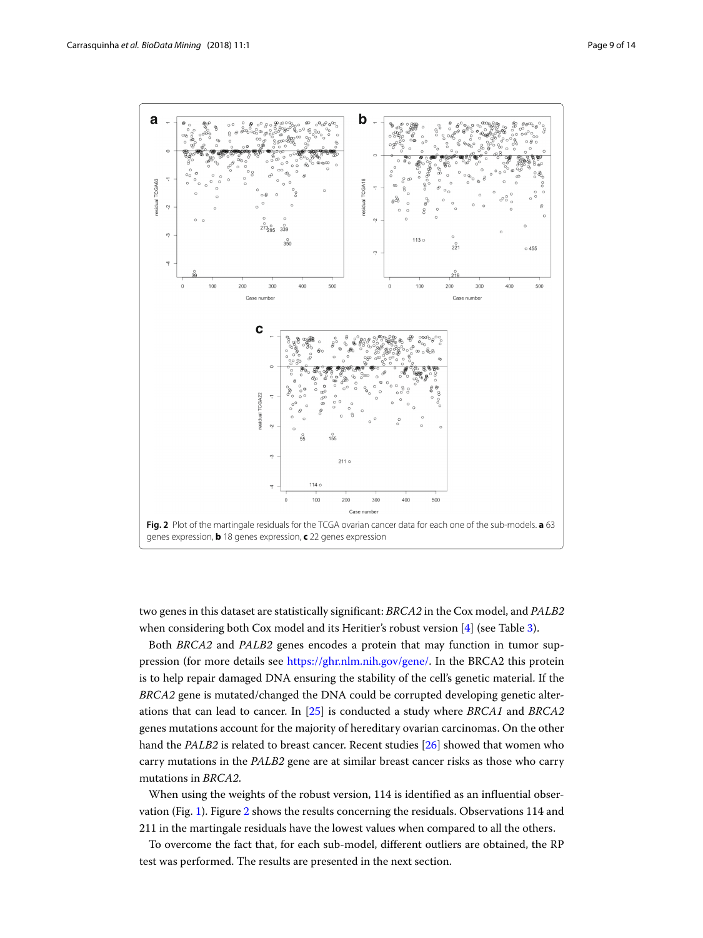

<span id="page-8-0"></span>two genes in this dataset are statistically significant: *BRCA2* in the Cox model, and *PALB2* when considering both Cox model and its Heritier's robust version [\[4\]](#page-12-3) (see Table [3\)](#page-9-1).

Both *BRCA2* and *PALB2* genes encodes a protein that may function in tumor suppression (for more details see [https://ghr.nlm.nih.gov/gene/.](https://ghr.nlm.nih.gov/gene/) In the BRCA2 this protein is to help repair damaged DNA ensuring the stability of the cell's genetic material. If the *BRCA2* gene is mutated/changed the DNA could be corrupted developing genetic alterations that can lead to cancer. In [\[25\]](#page-13-15) is conducted a study where *BRCA1* and *BRCA2* genes mutations account for the majority of hereditary ovarian carcinomas. On the other hand the *PALB2* is related to breast cancer. Recent studies [\[26\]](#page-13-16) showed that women who carry mutations in the *PALB2* gene are at similar breast cancer risks as those who carry mutations in *BRCA2*.

When using the weights of the robust version, 114 is identified as an influential observation (Fig. [1\)](#page-7-0). Figure [2](#page-8-0) shows the results concerning the residuals. Observations 114 and 211 in the martingale residuals have the lowest values when compared to all the others.

To overcome the fact that, for each sub-model, different outliers are obtained, the RP test was performed. The results are presented in the next section.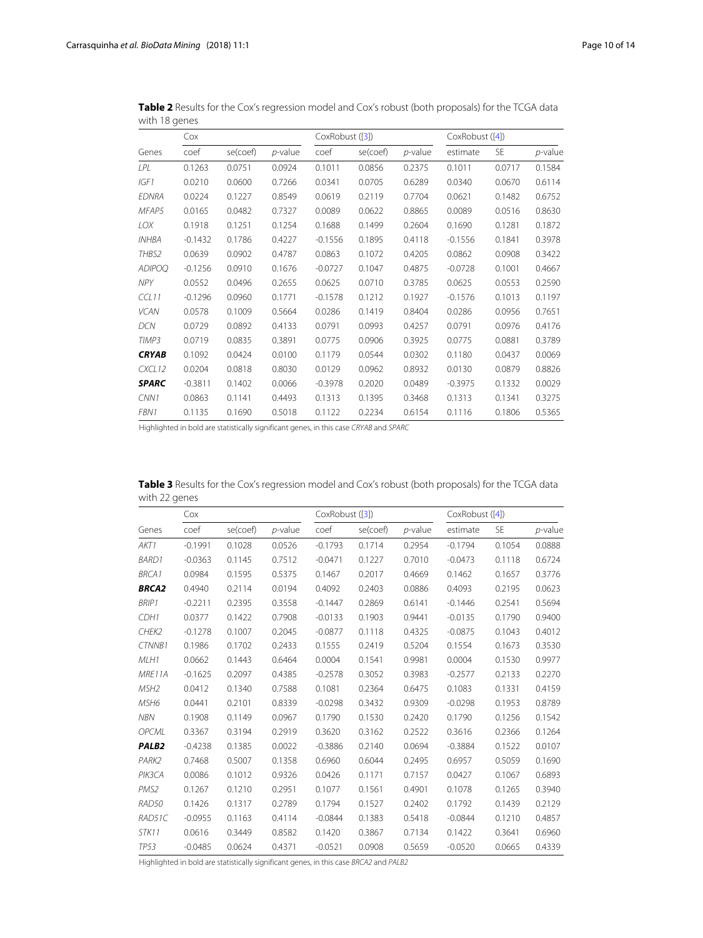|               | Cox       |          |                 | CoxRobust ([3]) |          |            | CoxRobust ([4]) |        |            |
|---------------|-----------|----------|-----------------|-----------------|----------|------------|-----------------|--------|------------|
| Genes         | coef      | se(coef) | <i>p</i> -value | coef            | se(coef) | $p$ -value | estimate        | SE     | $p$ -value |
| LPL           | 0.1263    | 0.0751   | 0.0924          | 0.1011          | 0.0856   | 0.2375     | 0.1011          | 0.0717 | 0.1584     |
| IGF1          | 0.0210    | 0.0600   | 0.7266          | 0.0341          | 0.0705   | 0.6289     | 0.0340          | 0.0670 | 0.6114     |
| <b>EDNRA</b>  | 0.0224    | 0.1227   | 0.8549          | 0.0619          | 0.2119   | 0.7704     | 0.0621          | 0.1482 | 0.6752     |
| MFAP5         | 0.0165    | 0.0482   | 0.7327          | 0.0089          | 0.0622   | 0.8865     | 0.0089          | 0.0516 | 0.8630     |
| LOX           | 0.1918    | 0.1251   | 0.1254          | 0.1688          | 0.1499   | 0.2604     | 0.1690          | 0.1281 | 0.1872     |
| <b>INHBA</b>  | $-0.1432$ | 0.1786   | 0.4227          | $-0.1556$       | 0.1895   | 0.4118     | $-0.1556$       | 0.1841 | 0.3978     |
| THBS2         | 0.0639    | 0.0902   | 0.4787          | 0.0863          | 0.1072   | 0.4205     | 0.0862          | 0.0908 | 0.3422     |
| <b>ADIPOQ</b> | $-0.1256$ | 0.0910   | 0.1676          | $-0.0727$       | 0.1047   | 0.4875     | $-0.0728$       | 0.1001 | 0.4667     |
| <b>NPY</b>    | 0.0552    | 0.0496   | 0.2655          | 0.0625          | 0.0710   | 0.3785     | 0.0625          | 0.0553 | 0.2590     |
| CCL11         | $-0.1296$ | 0.0960   | 0.1771          | $-0.1578$       | 0.1212   | 0.1927     | $-0.1576$       | 0.1013 | 0.1197     |
| <b>VCAN</b>   | 0.0578    | 0.1009   | 0.5664          | 0.0286          | 0.1419   | 0.8404     | 0.0286          | 0.0956 | 0.7651     |
| DCN           | 0.0729    | 0.0892   | 0.4133          | 0.0791          | 0.0993   | 0.4257     | 0.0791          | 0.0976 | 0.4176     |
| TIMP3         | 0.0719    | 0.0835   | 0.3891          | 0.0775          | 0.0906   | 0.3925     | 0.0775          | 0.0881 | 0.3789     |
| <b>CRYAB</b>  | 0.1092    | 0.0424   | 0.0100          | 0.1179          | 0.0544   | 0.0302     | 0.1180          | 0.0437 | 0.0069     |
| CXCL12        | 0.0204    | 0.0818   | 0.8030          | 0.0129          | 0.0962   | 0.8932     | 0.0130          | 0.0879 | 0.8826     |
| <b>SPARC</b>  | $-0.3811$ | 0.1402   | 0.0066          | $-0.3978$       | 0.2020   | 0.0489     | $-0.3975$       | 0.1332 | 0.0029     |
| CNN1          | 0.0863    | 0.1141   | 0.4493          | 0.1313          | 0.1395   | 0.3468     | 0.1313          | 0.1341 | 0.3275     |
| FBN1          | 0.1135    | 0.1690   | 0.5018          | 0.1122          | 0.2234   | 0.6154     | 0.1116          | 0.1806 | 0.5365     |

<span id="page-9-0"></span>**Table 2** Results for the Cox's regression model and Cox's robust (both proposals) for the TCGA data with 18 genes

Highlighted in bold are statistically significant genes, in this case CRYAB and SPARC

<span id="page-9-1"></span>

| Table 3 Results for the Cox's regression model and Cox's robust (both proposals) for the TCGA data |  |  |
|----------------------------------------------------------------------------------------------------|--|--|
| with 22 genes                                                                                      |  |  |

|                   | Cox       |          |            | CoxRobust ([3]) |          |            | CoxRobust ([4]) |        |            |
|-------------------|-----------|----------|------------|-----------------|----------|------------|-----------------|--------|------------|
| Genes             | coef      | se(coef) | $p$ -value | coef            | se(coef) | $p$ -value | estimate        | SE     | $p$ -value |
| AKT1              | $-0.1991$ | 0.1028   | 0.0526     | $-0.1793$       | 0.1714   | 0.2954     | $-0.1794$       | 0.1054 | 0.0888     |
| <b>BARD1</b>      | $-0.0363$ | 0.1145   | 0.7512     | $-0.0471$       | 0.1227   | 0.7010     | $-0.0473$       | 0.1118 | 0.6724     |
| <b>BRCA1</b>      | 0.0984    | 0.1595   | 0.5375     | 0.1467          | 0.2017   | 0.4669     | 0.1462          | 0.1657 | 0.3776     |
| <b>BRCA2</b>      | 0.4940    | 0.2114   | 0.0194     | 0.4092          | 0.2403   | 0.0886     | 0.4093          | 0.2195 | 0.0623     |
| <b>BRIP1</b>      | $-0.2211$ | 0.2395   | 0.3558     | $-0.1447$       | 0.2869   | 0.6141     | $-0.1446$       | 0.2541 | 0.5694     |
| CDH1              | 0.0377    | 0.1422   | 0.7908     | $-0.0133$       | 0.1903   | 0.9441     | $-0.0135$       | 0.1790 | 0.9400     |
| CHEK2             | $-0.1278$ | 0.1007   | 0.2045     | $-0.0877$       | 0.1118   | 0.4325     | $-0.0875$       | 0.1043 | 0.4012     |
| CTNNB1            | 0.1986    | 0.1702   | 0.2433     | 0.1555          | 0.2419   | 0.5204     | 0.1554          | 0.1673 | 0.3530     |
| MLH1              | 0.0662    | 0.1443   | 0.6464     | 0.0004          | 0.1541   | 0.9981     | 0.0004          | 0.1530 | 0.9977     |
| MRE11A            | $-0.1625$ | 0.2097   | 0.4385     | $-0.2578$       | 0.3052   | 0.3983     | $-0.2577$       | 0.2133 | 0.2270     |
| MSH <sub>2</sub>  | 0.0412    | 0.1340   | 0.7588     | 0.1081          | 0.2364   | 0.6475     | 0.1083          | 0.1331 | 0.4159     |
| MSH6              | 0.0441    | 0.2101   | 0.8339     | $-0.0298$       | 0.3432   | 0.9309     | $-0.0298$       | 0.1953 | 0.8789     |
| <b>NBN</b>        | 0.1908    | 0.1149   | 0.0967     | 0.1790          | 0.1530   | 0.2420     | 0.1790          | 0.1256 | 0.1542     |
| <b>OPCML</b>      | 0.3367    | 0.3194   | 0.2919     | 0.3620          | 0.3162   | 0.2522     | 0.3616          | 0.2366 | 0.1264     |
| PALB <sub>2</sub> | $-0.4238$ | 0.1385   | 0.0022     | $-0.3886$       | 0.2140   | 0.0694     | $-0.3884$       | 0.1522 | 0.0107     |
| PARK2             | 0.7468    | 0.5007   | 0.1358     | 0.6960          | 0.6044   | 0.2495     | 0.6957          | 0.5059 | 0.1690     |
| PIK3CA            | 0.0086    | 0.1012   | 0.9326     | 0.0426          | 0.1171   | 0.7157     | 0.0427          | 0.1067 | 0.6893     |
| PMS <sub>2</sub>  | 0.1267    | 0.1210   | 0.2951     | 0.1077          | 0.1561   | 0.4901     | 0.1078          | 0.1265 | 0.3940     |
| RAD50             | 0.1426    | 0.1317   | 0.2789     | 0.1794          | 0.1527   | 0.2402     | 0.1792          | 0.1439 | 0.2129     |
| RAD51C            | $-0.0955$ | 0.1163   | 0.4114     | $-0.0844$       | 0.1383   | 0.5418     | $-0.0844$       | 0.1210 | 0.4857     |
| STK11             | 0.0616    | 0.3449   | 0.8582     | 0.1420          | 0.3867   | 0.7134     | 0.1422          | 0.3641 | 0.6960     |
| TP53              | $-0.0485$ | 0.0624   | 0.4371     | $-0.0521$       | 0.0908   | 0.5659     | $-0.0520$       | 0.0665 | 0.4339     |

Highlighted in bold are statistically significant genes, in this case BRCA2 and PALB2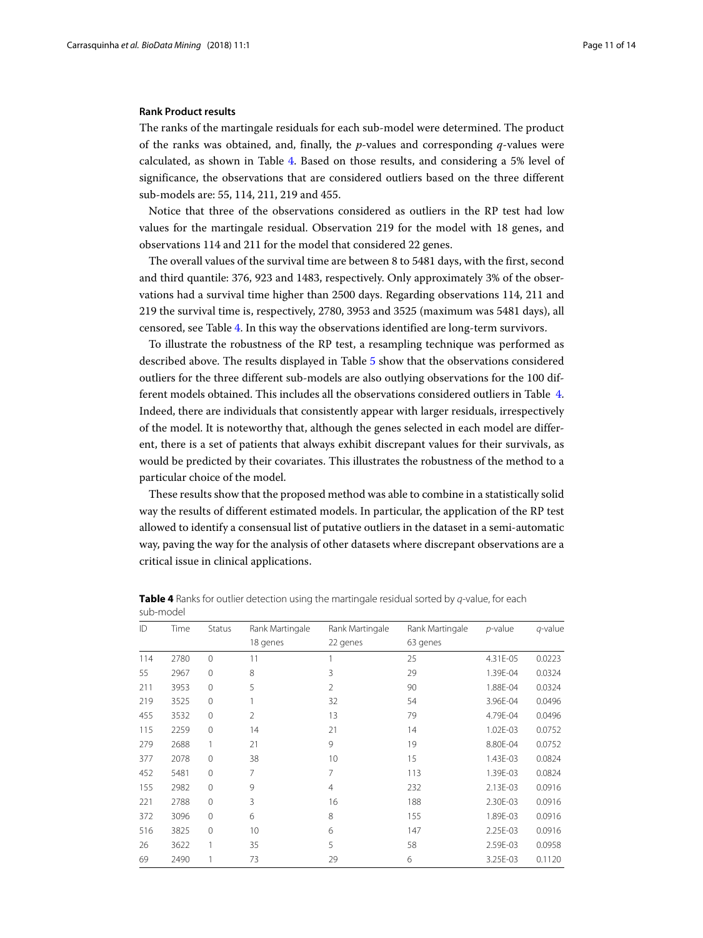### **Rank Product results**

The ranks of the martingale residuals for each sub-model were determined. The product of the ranks was obtained, and, finally, the *p*-values and corresponding *q*-values were calculated, as shown in Table [4.](#page-10-0) Based on those results, and considering a 5% level of significance, the observations that are considered outliers based on the three different sub-models are: 55, 114, 211, 219 and 455.

Notice that three of the observations considered as outliers in the RP test had low values for the martingale residual. Observation 219 for the model with 18 genes, and observations 114 and 211 for the model that considered 22 genes.

The overall values of the survival time are between 8 to 5481 days, with the first, second and third quantile: 376, 923 and 1483, respectively. Only approximately 3% of the observations had a survival time higher than 2500 days. Regarding observations 114, 211 and 219 the survival time is, respectively, 2780, 3953 and 3525 (maximum was 5481 days), all censored, see Table [4.](#page-10-0) In this way the observations identified are long-term survivors.

To illustrate the robustness of the RP test, a resampling technique was performed as described above. The results displayed in Table [5](#page-11-0) show that the observations considered outliers for the three different sub-models are also outlying observations for the 100 different models obtained. This includes all the observations considered outliers in Table [4.](#page-10-0) Indeed, there are individuals that consistently appear with larger residuals, irrespectively of the model. It is noteworthy that, although the genes selected in each model are different, there is a set of patients that always exhibit discrepant values for their survivals, as would be predicted by their covariates. This illustrates the robustness of the method to a particular choice of the model.

These results show that the proposed method was able to combine in a statistically solid way the results of different estimated models. In particular, the application of the RP test allowed to identify a consensual list of putative outliers in the dataset in a semi-automatic way, paving the way for the analysis of other datasets where discrepant observations are a critical issue in clinical applications.

| ID  | Time | <b>Status</b> | Rank Martingale | Rank Martingale | Rank Martingale | $p$ -value | q-value |
|-----|------|---------------|-----------------|-----------------|-----------------|------------|---------|
|     |      |               | 18 genes        | 22 genes        | 63 genes        |            |         |
| 114 | 2780 | $\Omega$      | 11              |                 | 25              | 4.31E-05   | 0.0223  |
| 55  | 2967 | $\Omega$      | 8               | 3               | 29              | 1.39E-04   | 0.0324  |
| 211 | 3953 | $\mathbf{0}$  | 5               | $\overline{2}$  | 90              | 1.88E-04   | 0.0324  |
| 219 | 3525 | $\mathbf{0}$  |                 | 32              | 54              | 3.96E-04   | 0.0496  |
| 455 | 3532 | $\mathbf{0}$  | 2               | 13              | 79              | 4.79E-04   | 0.0496  |
| 115 | 2259 | $\mathbf{0}$  | 14              | 21              | 14              | 1.02E-03   | 0.0752  |
| 279 | 2688 | 1             | 21              | 9               | 19              | 8.80E-04   | 0.0752  |
| 377 | 2078 | $\Omega$      | 38              | 10              | 15              | 1.43E-03   | 0.0824  |
| 452 | 5481 | $\mathbf{0}$  | 7               | 7               | 113             | 1.39E-03   | 0.0824  |
| 155 | 2982 | $\Omega$      | 9               | $\overline{4}$  | 232             | 2.13E-03   | 0.0916  |
| 221 | 2788 | $\mathbf{0}$  | 3               | 16              | 188             | 2.30E-03   | 0.0916  |
| 372 | 3096 | $\mathbf{0}$  | 6               | 8               | 155             | 1.89E-03   | 0.0916  |
| 516 | 3825 | $\mathbf{0}$  | 10              | 6               | 147             | 2.25E-03   | 0.0916  |
| 26  | 3622 | 1             | 35              | 5               | 58              | 2.59E-03   | 0.0958  |
| 69  | 2490 |               | 73              | 29              | 6               | 3.25E-03   | 0.1120  |

<span id="page-10-0"></span>**Table 4** Ranks for outlier detection using the martingale residual sorted by q-value, for each sub-model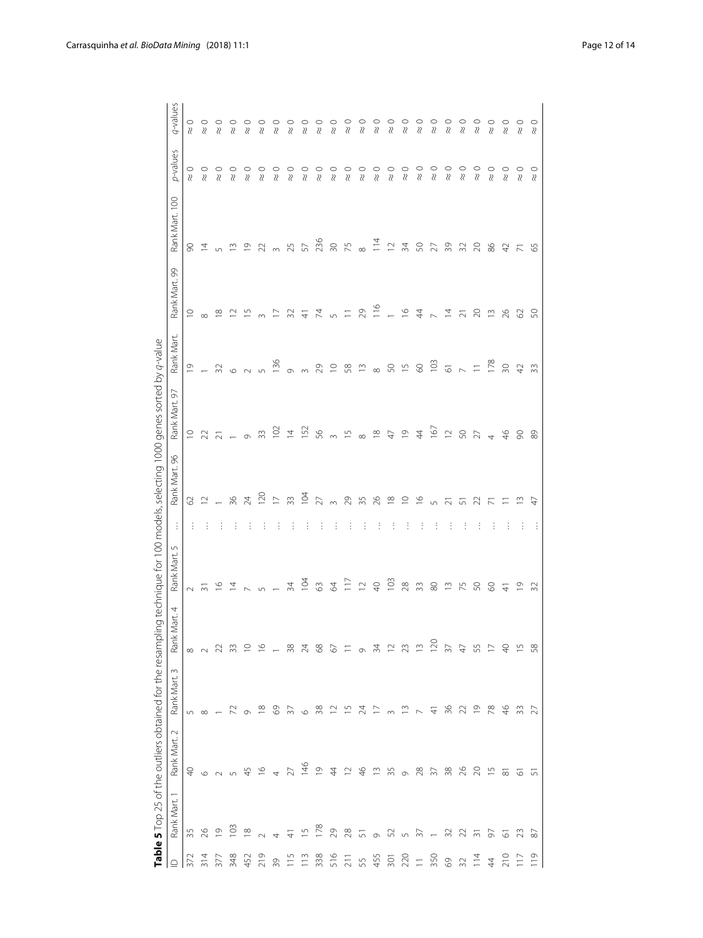<span id="page-11-0"></span>

|                 |                                                                                                                                                                                                                                                                                                                         | Table 5 Top 25 of the outliers obtained for the resamp |                                      |                                                                                             |                                                      |          |                          | ling technique for 100 models, selecting 1000 genes sorted by q-value |                    |                         |                          |                      |                   |
|-----------------|-------------------------------------------------------------------------------------------------------------------------------------------------------------------------------------------------------------------------------------------------------------------------------------------------------------------------|--------------------------------------------------------|--------------------------------------|---------------------------------------------------------------------------------------------|------------------------------------------------------|----------|--------------------------|-----------------------------------------------------------------------|--------------------|-------------------------|--------------------------|----------------------|-------------------|
| $\supseteq$     | Rank Mart. 1                                                                                                                                                                                                                                                                                                            | $\sim$<br>Rank Mart.                                   | $\sim$<br>Rank Mart.                 | 4<br>Mart.<br>Rank                                                                          | $\mathsf{L}\cap$<br>Rank Mart.                       | ŧ        | Rank Mart. 96            | 97<br>Rank Mart.                                                      | Rank Mart.         | Rank Mart. 99           | Rank Mart. 100           | p-values             | q-values          |
| 372             | 35                                                                                                                                                                                                                                                                                                                      |                                                        |                                      |                                                                                             | $\sim$                                               |          | 3                        | $\subseteq$                                                           | $\supseteq$        | $\supseteq$             | $\infty$                 | $\circ$<br>₹         | $\circ$<br>₹      |
| 314             | 26                                                                                                                                                                                                                                                                                                                      |                                                        |                                      |                                                                                             | $\overline{5}$                                       |          | $\sim$                   | 22                                                                    |                    | $\infty$                | $\overline{4}$           | $\circ$<br>∛         | $\circ$<br>₹      |
| 377             | $\overline{\circ}$                                                                                                                                                                                                                                                                                                      |                                                        |                                      |                                                                                             | $\tilde{=}$                                          |          |                          | $\overline{N}$                                                        | $\approx$          | $\frac{\infty}{\infty}$ | $\sqrt{2}$               | $\circ$<br>∛         | ₹                 |
| 348             | $\sum_{i=1}^{n}$                                                                                                                                                                                                                                                                                                        | д 6 и n 4 5 4 7 4 5 4 5 4 5 4 5 7 8 9 8 7 8            | 581 ア9 12 多夕 6 退 12 けみ 12 3 12 1 3 2 | 8 2 2 3 0 6 1 8 4 8 0 1 9 1 2 2 2 2 2 0 7 5 5 0 0 5 8 0 1 9 3 0 1 9 2 0 0 7 5 0 7 5 5 0 5 8 | $\overline{4}$                                       |          | 36                       |                                                                       |                    | $\approx$               | $\tilde{=}$              | $\circ$<br>75        | 75                |
| 452             |                                                                                                                                                                                                                                                                                                                         |                                                        |                                      |                                                                                             | $\sim$                                               | ł        | 24                       | $\circ$                                                               | 0 N5               | $\overline{5}$          | $\overline{0}$           | $\circ$<br>₹         | ◠<br>₹            |
| 219             | $\overset{\infty}{\sim}~~ \sim~~ \overline{4}$                                                                                                                                                                                                                                                                          |                                                        |                                      |                                                                                             | $\cup$                                               |          | $\overline{120}$         | 33                                                                    |                    | $\infty$                | 22                       | $\circ$<br>8         | ₹                 |
| $\sqrt{3}$      |                                                                                                                                                                                                                                                                                                                         |                                                        |                                      |                                                                                             |                                                      |          | $\overline{\phantom{0}}$ | 102                                                                   | 136                | $\overline{a}$          | $\sim$                   | $\circ$<br>₹         | ₹                 |
| 115             |                                                                                                                                                                                                                                                                                                                         |                                                        |                                      |                                                                                             | $\frac{34}{3}$                                       |          | 33                       | $\overline{4}$                                                        | $\infty$ m         | 32                      | 25                       | $\circ$<br>$\chi$    | 7                 |
| 113             | $\begin{array}{l} 5 \  \  \, 2 \  \  \, 5 \  \  \, 2 \  \  \, 5 \  \  \, 2 \  \  \, 6 \  \  \, 6 \  \  \, 7 \  \  \, 6 \  \  \, 6 \  \  \, 7 \  \  \, 8 \  \  \, 6 \  \  \, 7 \  \  \, 8 \  \  \, 6 \  \  \, 9 \  \  \, 9 \  \  \, 9 \  \  \, 9 \  \  \, 1 \  \  \, 9 \  \  \, 1 \  \  \, 9 \  \  \, 1 \  \  \, 9 \  \$ |                                                        |                                      |                                                                                             | $\overline{6}$                                       |          | $\overline{5}$           | 152                                                                   |                    | $\overline{+}$          | 57                       | $\circ$<br>$\chi$    | c<br>₹            |
| 338             |                                                                                                                                                                                                                                                                                                                         |                                                        |                                      |                                                                                             | $63\,$                                               | ŧ        | $\overline{27}$          | 56                                                                    |                    | 74                      | 236                      | $\circ$<br>$\gtrsim$ | O<br>8            |
| 516             |                                                                                                                                                                                                                                                                                                                         |                                                        |                                      |                                                                                             | $\mathcal{Z}$                                        | $\vdots$ | $\sim$                   | $\sim$                                                                |                    |                         | 30<br>75                 | $\circ$<br>$\chi$    | ₹                 |
| 211             |                                                                                                                                                                                                                                                                                                                         |                                                        |                                      |                                                                                             | 117                                                  | ĵ        | 29                       | $\overline{5}$                                                        | $2929$             | $\equiv$                |                          | $\circ$<br>$\chi$    | 8                 |
| 55<br>455       |                                                                                                                                                                                                                                                                                                                         |                                                        |                                      |                                                                                             | $\begin{array}{cc} \sim & 0 \\ \sim & 0 \end{array}$ |          | 35                       | $\infty$                                                              |                    | $29 = 16$               | $\frac{1}{2}$ $\approx$  | $\circ$<br>7         | O<br>75           |
|                 |                                                                                                                                                                                                                                                                                                                         |                                                        |                                      |                                                                                             |                                                      |          | 26                       | $\approx$                                                             | $\infty$           |                         |                          | $\circ$<br>∛         | c<br>$\chi$       |
| 301             |                                                                                                                                                                                                                                                                                                                         |                                                        |                                      |                                                                                             | 103                                                  |          | $\frac{\infty}{\infty}$  | $\overline{4}$                                                        | 50                 | $ \frac{\varphi}{\neg}$ | $\overline{\phantom{a}}$ | O<br>∛               | 0<br>$\chi$       |
| 220             |                                                                                                                                                                                                                                                                                                                         |                                                        |                                      |                                                                                             | 28                                                   |          | $\supseteq$              | $\overline{Q}$                                                        | $\frac{1}{1}$      |                         | $\frac{5}{4}$            | O<br>$\gtrsim$       | $\chi$            |
| $\equiv$ 50     |                                                                                                                                                                                                                                                                                                                         |                                                        |                                      |                                                                                             | $\mathfrak{Z}3$                                      |          | $\frac{8}{1}$            | $\ddot{4}$                                                            | $\odot$            | $\frac{4}{4}$           |                          | $\circ$<br>$\chi$    | $\circ$<br>$\chi$ |
|                 |                                                                                                                                                                                                                                                                                                                         |                                                        |                                      |                                                                                             | $\rm{SO}$                                            |          | $\sqrt{2}$               | $\overline{167}$                                                      | $\frac{2}{3}$      | $\sim$ $\frac{1}{4}$    |                          | O<br>₹               | 0<br>$\chi$       |
| $69$            |                                                                                                                                                                                                                                                                                                                         |                                                        |                                      |                                                                                             | $\widetilde{\Box}$                                   | ŧ        | $\overline{2}$           | $\supseteq$                                                           | $\overline{\circ}$ |                         |                          | $\circ$<br>8         | $\chi$            |
| 32              |                                                                                                                                                                                                                                                                                                                         | $260$ 20                                               |                                      |                                                                                             | 75                                                   |          | 5                        | $\mathsf{S}\mathsf{O}$                                                | $\bar{\mathbb{N}}$ | $\overline{2}$          | $879888$                 | $\circ$<br>₹         | c<br>$\gtrsim$    |
| $\frac{4}{11}$  |                                                                                                                                                                                                                                                                                                                         |                                                        |                                      |                                                                                             | 50                                                   |          | 22                       | $\overline{z}$                                                        | $\equiv$           | 20                      |                          | $\circ$<br>$\chi$    | ∛                 |
| $\overline{4}$  |                                                                                                                                                                                                                                                                                                                         |                                                        | 978                                  |                                                                                             | $\infty$                                             |          | $\overline{N}$           | $\overline{a}$                                                        | 178                | $\tilde{c}$             | 86                       | $\circ$<br>∛         | O<br>75           |
| 210             |                                                                                                                                                                                                                                                                                                                         | $\overline{\infty}$                                    | $\frac{4}{5}$                        |                                                                                             | $\pm$                                                |          |                          | $\frac{6}{5}$                                                         | $\approx$          | $\approx$               | 42                       | $\circ$<br>8         | 75                |
| $\overline{11}$ |                                                                                                                                                                                                                                                                                                                         | $\overline{\circ}$                                     | 33                                   |                                                                                             | $\overline{0}$                                       |          | ≘                        | $\infty$                                                              | $\overline{4}$     | 62                      | $\overline{N}$           | $\circ$<br>8         | 0<br>₹            |
| $\frac{1}{2}$   | $\infty$                                                                                                                                                                                                                                                                                                                | 5                                                      | $\overline{z}$                       |                                                                                             | $\approx$                                            |          | $\overline{D}$           | 89                                                                    | 33                 | S                       | 59                       | $\circ$<br>∛         | $\circ$<br>₹      |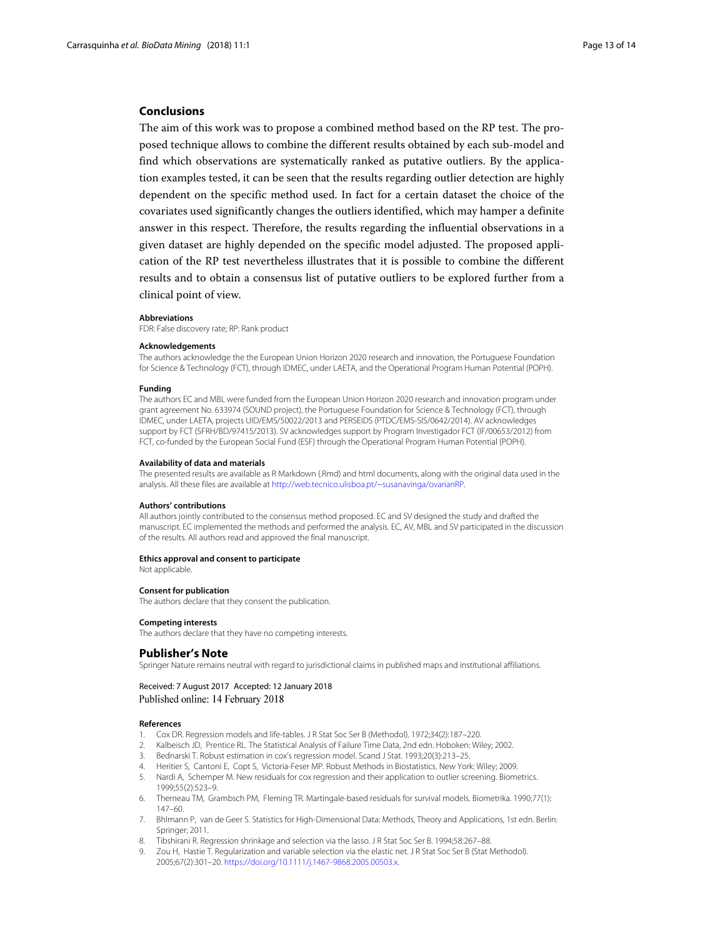#### <span id="page-12-9"></span>**Conclusions**

The aim of this work was to propose a combined method based on the RP test. The proposed technique allows to combine the different results obtained by each sub-model and find which observations are systematically ranked as putative outliers. By the application examples tested, it can be seen that the results regarding outlier detection are highly dependent on the specific method used. In fact for a certain dataset the choice of the covariates used significantly changes the outliers identified, which may hamper a definite answer in this respect. Therefore, the results regarding the influential observations in a given dataset are highly depended on the specific model adjusted. The proposed application of the RP test nevertheless illustrates that it is possible to combine the different results and to obtain a consensus list of putative outliers to be explored further from a clinical point of view.

#### **Abbreviations**

FDR: False discovery rate; RP: Rank product

#### **Acknowledgements**

The authors acknowledge the the European Union Horizon 2020 research and innovation, the Portuguese Foundation for Science & Technology (FCT), through IDMEC, under LAETA, and the Operational Program Human Potential (POPH).

#### **Funding**

The authors EC and MBL were funded from the European Union Horizon 2020 research and innovation program under grant agreement No. 633974 (SOUND project), the Portuguese Foundation for Science & Technology (FCT), through IDMEC, under LAETA, projects UID/EMS/50022/2013 and PERSEIDS (PTDC/EMS-SIS/0642/2014). AV acknowledges support by FCT (SFRH/BD/97415/2013). SV acknowledges support by Program Investigador FCT (IF/00653/2012) from FCT, co-funded by the European Social Fund (ESF) through the Operational Program Human Potential (POPH).

#### **Availability of data and materials**

The presented results are available as R Markdown (.Rmd) and html documents, along with the original data used in the analysis. All these files are available at [http://web.tecnico.ulisboa.pt/~susanavinga/ovarianRP.](http://web.tecnico.ulisboa.pt/~susanavinga/ovarianRP)

#### **Authors' contributions**

All authors jointly contributed to the consensus method proposed. EC and SV designed the study and drafted the manuscript. EC implemented the methods and performed the analysis. EC, AV, MBL and SV participated in the discussion of the results. All authors read and approved the final manuscript.

#### **Ethics approval and consent to participate**

Not applicable.

#### **Consent for publication**

The authors declare that they consent the publication.

#### **Competing interests**

The authors declare that they have no competing interests.

#### **Publisher's Note**

Springer Nature remains neutral with regard to jurisdictional claims in published maps and institutional affiliations.

Received: 7 August 2017 Accepted: 12 January 2018

#### Published online: 14 February 2018

#### **References**

- <span id="page-12-0"></span>1. Cox DR. Regression models and life-tables. J R Stat Soc Ser B (Methodol). 1972;34(2):187–220.
- <span id="page-12-1"></span>2. Kalbeisch JD, Prentice RL. The Statistical Analysis of Failure Time Data, 2nd edn. Hoboken: Wiley; 2002.
- <span id="page-12-2"></span>3. Bednarski T. Robust estimation in cox's regression model. Scand J Stat. 1993;20(3):213–25.
- <span id="page-12-3"></span>4. Heritier S, Cantoni E, Copt S, Victoria-Feser MP. Robust Methods in Biostatistics. New York: Wiley; 2009.
- <span id="page-12-4"></span>5. Nardi A, Schemper M. New residuals for cox regression and their application to outlier screening. Biometrics. 1999;55(2):523–9.
- <span id="page-12-5"></span>6. Therneau TM, Grambsch PM, Fleming TR. Martingale-based residuals for survival models. Biometrika. 1990;77(1): 147–60.
- <span id="page-12-6"></span>7. Bhlmann P, van de Geer S. Statistics for High-Dimensional Data: Methods, Theory and Applications, 1st edn. Berlin: Springer; 2011.
- <span id="page-12-7"></span>8. Tibshirani R. Regression shrinkage and selection via the lasso. J R Stat Soc Ser B. 1994;58:267–88.
- <span id="page-12-8"></span>9. Zou H, Hastie T. Regularization and variable selection via the elastic net. J R Stat Soc Ser B (Stat Methodol). 2005;67(2):301–20. [https://doi.org/10.1111/j.1467-9868.2005.00503.x.](https://doi.org/10.1111/j.1467-9868.2005.00503.x)